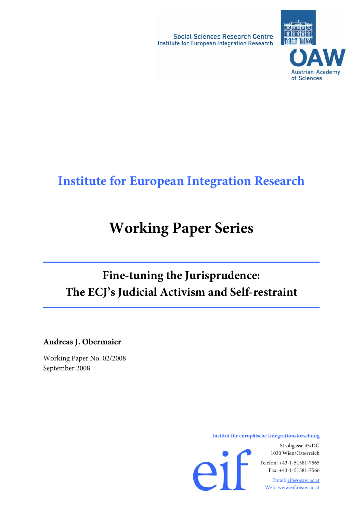**Social Sciences Research Centre** Institute for European Integration Research



# **Institute for European Integration Research**

# **Working Paper Series**

# **Fine-tuning the Jurisprudence: The ECJ's Judicial Activism and Self-restraint**

e.

**Andreas J. Obermaier** 

Working Paper No. 02/2008 September 2008

#### **Institut für europäische Integrationsforschung**

Strohgasse 45/DG 1030 Wien/Österreich

Telefon: +43-1-51581-7565 Fax: +43-1-51581-7566

> Email: eif@oeaw.ac.at Web: www.eif.oeaw.ac.at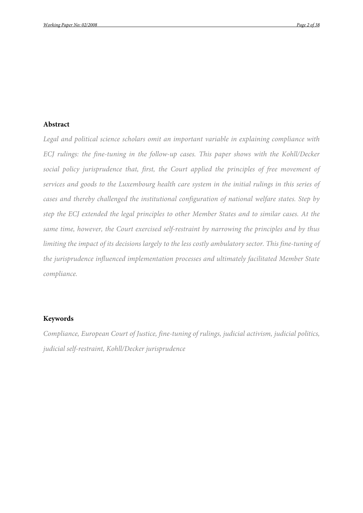### **Abstract**

*Legal and political science scholars omit an important variable in explaining compliance with ECJ rulings: the fine-tuning in the follow-up cases. This paper shows with the Kohll/Decker social policy jurisprudence that, first, the Court applied the principles of free movement of services and goods to the Luxembourg health care system in the initial rulings in this series of cases and thereby challenged the institutional configuration of national welfare states. Step by step the ECJ extended the legal principles to other Member States and to similar cases. At the same time, however, the Court exercised self-restraint by narrowing the principles and by thus limiting the impact of its decisions largely to the less costly ambulatory sector. This fine-tuning of the jurisprudence influenced implementation processes and ultimately facilitated Member State compliance.* 

#### **Keywords**

*Compliance, European Court of Justice, fine-tuning of rulings, judicial activism, judicial politics, judicial self-restraint, Kohll/Decker jurisprudence*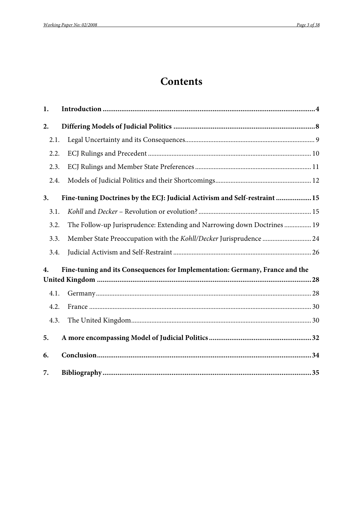# **Contents**

| 1.   |                                                                              |
|------|------------------------------------------------------------------------------|
| 2.   |                                                                              |
| 2.1. |                                                                              |
| 2.2. |                                                                              |
| 2.3. |                                                                              |
| 2.4. |                                                                              |
| 3.   | Fine-tuning Doctrines by the ECJ: Judicial Activism and Self-restraint  15   |
| 3.1. |                                                                              |
| 3.2. | The Follow-up Jurisprudence: Extending and Narrowing down Doctrines  19      |
| 3.3. | Member State Preoccupation with the Kohll/Decker Jurisprudence  24           |
| 3.4. |                                                                              |
| 4.   | Fine-tuning and its Consequences for Implementation: Germany, France and the |
|      |                                                                              |
| 4.1. |                                                                              |
| 4.2. |                                                                              |
| 4.3. |                                                                              |
| 5.   |                                                                              |
| 6.   |                                                                              |
| 7.   | .35                                                                          |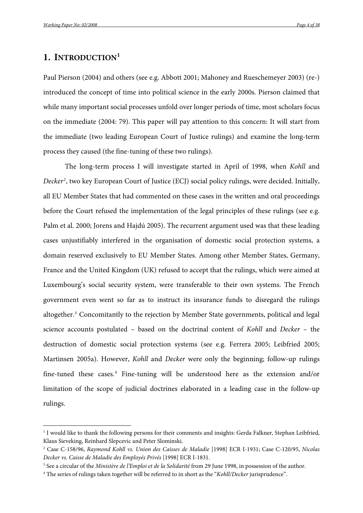# <span id="page-3-0"></span>**1. INTRODUCTION[1](#page-3-1)**

Paul Pierson (2004) and others (see e.g. Abbott 2001; Mahoney and Rueschemeyer 2003) (re-) introduced the concept of time into political science in the early 2000s. Pierson claimed that while many important social processes unfold over longer periods of time, most scholars focus on the immediate (2004: 79). This paper will pay attention to this concern: It will start from the immediate (two leading European Court of Justice rulings) and examine the long-term process they caused (the fine-tuning of these two rulings).

The long-term process I will investigate started in April of 1998, when *Kohll* and *Decker[2](#page-3-2)* , two key European Court of Justice (ECJ) social policy rulings, were decided. Initially, all EU Member States that had commented on these cases in the written and oral proceedings before the Court refused the implementation of the legal principles of these rulings (see e.g. Palm et al. 2000; Jorens and Hajdú 2005). The recurrent argument used was that these leading cases unjustifiably interfered in the organisation of domestic social protection systems, a domain reserved exclusively to EU Member States. Among other Member States, Germany, France and the United Kingdom (UK) refused to accept that the rulings, which were aimed at Luxembourg's social security system, were transferable to their own systems. The French government even went so far as to instruct its insurance funds to disregard the rulings altogether.<sup>[3](#page-3-3)</sup> Concomitantly to the rejection by Member State governments, political and legal science accounts postulated – based on the doctrinal content of *Kohll* and *Decker* – the destruction of domestic social protection systems (see e.g. Ferrera 2005; Leibfried 2005; Martinsen 2005a). However, *Kohll* and *Decker* were only the beginning; follow-up rulings fine-tuned these cases.<sup>[4](#page-3-4)</sup> Fine-tuning will be understood here as the extension and/or limitation of the scope of judicial doctrines elaborated in a leading case in the follow-up rulings.

<span id="page-3-1"></span><sup>&</sup>lt;sup>1</sup> I would like to thank the following persons for their comments and insights: Gerda Falkner, Stephan Leibfried, Klaus Sieveking, Reinhard Slepcevic and Peter Slominski.

<span id="page-3-2"></span><sup>2</sup> Case C-158/96, *Raymond Kohll vs. Union des Caisses de Maladie* [1998] ECR I-1931; Case C-120/95, *Nicolas Decker vs. Caisse de Maladie des Employés Privés* [1998] ECR I-1831.

<span id="page-3-3"></span><sup>3</sup> See a circular of the *Ministère de l'Emploi et de la Solidarité* from 29 June 1998, in possession of the author.

<span id="page-3-4"></span><sup>4</sup> The series of rulings taken together will be referred to in short as the "*Kohll/Decker* jurisprudence".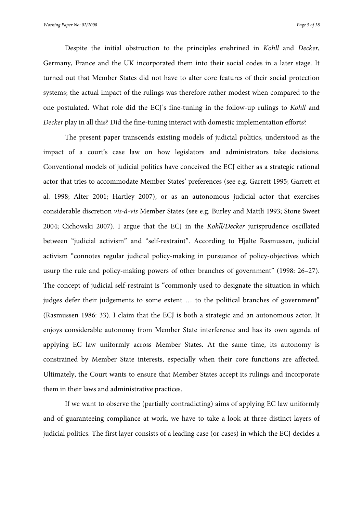Despite the initial obstruction to the principles enshrined in *Kohll* and *Decker*, Germany, France and the UK incorporated them into their social codes in a later stage. It turned out that Member States did not have to alter core features of their social protection systems; the actual impact of the rulings was therefore rather modest when compared to the one postulated. What role did the ECJ's fine-tuning in the follow-up rulings to *Kohll* and *Decker* play in all this? Did the fine-tuning interact with domestic implementation efforts?

The present paper transcends existing models of judicial politics, understood as the impact of a court's case law on how legislators and administrators take decisions. Conventional models of judicial politics have conceived the ECJ either as a strategic rational actor that tries to accommodate Member States' preferences (see e.g. Garrett 1995; Garrett et al. 1998; Alter 2001; Hartley 2007), or as an autonomous judicial actor that exercises considerable discretion *vis-à-vis* Member States (see e.g. Burley and Mattli 1993; Stone Sweet 2004; Cichowski 2007). I argue that the ECJ in the *Kohll/Decker* jurisprudence oscillated between "judicial activism" and "self-restraint". According to Hjalte Rasmussen, judicial activism "connotes regular judicial policy-making in pursuance of policy-objectives which usurp the rule and policy-making powers of other branches of government" (1998: 26–27). The concept of judicial self-restraint is "commonly used to designate the situation in which judges defer their judgements to some extent ... to the political branches of government" (Rasmussen 1986: 33). I claim that the ECJ is both a strategic and an autonomous actor. It enjoys considerable autonomy from Member State interference and has its own agenda of applying EC law uniformly across Member States. At the same time, its autonomy is constrained by Member State interests, especially when their core functions are affected. Ultimately, the Court wants to ensure that Member States accept its rulings and incorporate them in their laws and administrative practices.

If we want to observe the (partially contradicting) aims of applying EC law uniformly and of guaranteeing compliance at work, we have to take a look at three distinct layers of judicial politics. The first layer consists of a leading case (or cases) in which the ECJ decides a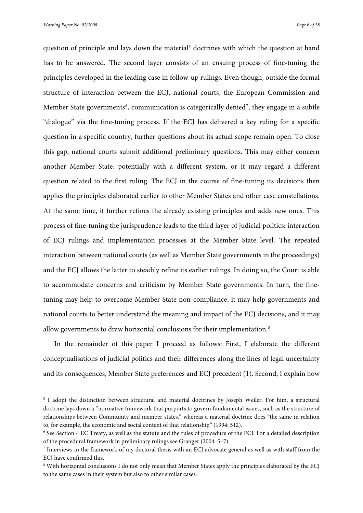question of principle and lays down the material<sup>5</sup> doctrines with which the question at hand has to be answered. The second layer consists of an ensuing process of fine-tuning the principles developed in the leading case in follow-up rulings. Even though, outside the formal structure of interaction between the ECJ, national courts, the European Commission and Member State governments<sup>[6](#page-5-1)</sup>, communication is categorically denied<sup>[7](#page-5-2)</sup>, they engage in a subtle "dialogue" via the fine-tuning process. If the ECJ has delivered a key ruling for a specific question in a specific country, further questions about its actual scope remain open. To close this gap, national courts submit additional preliminary questions. This may either concern another Member State, potentially with a different system, or it may regard a different question related to the first ruling. The ECJ in the course of fine-tuning its decisions then applies the principles elaborated earlier to other Member States and other case constellations. At the same time, it further refines the already existing principles and adds new ones. This process of fine-tuning the jurisprudence leads to the third layer of judicial politics: interaction of ECJ rulings and implementation processes at the Member State level. The repeated interaction between national courts (as well as Member State governments in the proceedings) and the ECJ allows the latter to steadily refine its earlier rulings. In doing so, the Court is able to accommodate concerns and criticism by Member State governments. In turn, the finetuning may help to overcome Member State non-compliance, it may help governments and national courts to better understand the meaning and impact of the ECJ decisions, and it may allow governments to draw horizontal conclusions for their implementation.<sup>[8](#page-5-3)</sup>

In the remainder of this paper I proceed as follows: First, I elaborate the different conceptualisations of judicial politics and their differences along the lines of legal uncertainty and its consequences, Member State preferences and ECJ precedent (1). Second, I explain how

<span id="page-5-0"></span><sup>&</sup>lt;sup>5</sup> I adopt the distinction between structural and material doctrines by Joseph Weiler. For him, a structural doctrine lays down a "normative framework that purports to govern fundamental issues, such as the structure of relationships between Community and member states," whereas a material doctrine does "the same in relation to, for example, the economic and social content of that relationship" (1994: 512).

<span id="page-5-1"></span><sup>6</sup> See Section 4 EC Treaty, as well as the statute and the rules of procedure of the ECJ. For a detailed description of the procedural framework in preliminary rulings see Granger (2004: 5–7).

<span id="page-5-2"></span><sup>&</sup>lt;sup>7</sup> Interviews in the framework of my doctoral thesis with an ECJ advocate general as well as with staff from the ECI have confirmed this.

<span id="page-5-3"></span><sup>8</sup> With horizontal conclusions I do not only mean that Member States apply the principles elaborated by the ECJ to the same cases in their system but also to other similar cases.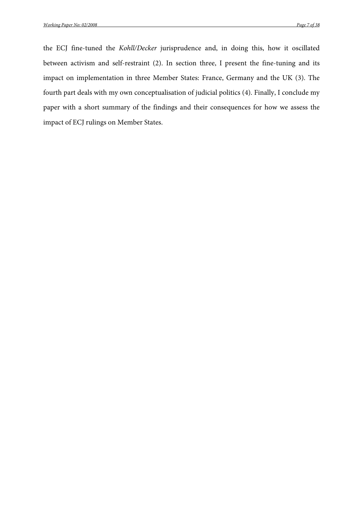the ECJ fine-tuned the *Kohll/Decker* jurisprudence and, in doing this, how it oscillated between activism and self-restraint (2). In section three, I present the fine-tuning and its impact on implementation in three Member States: France, Germany and the UK (3). The fourth part deals with my own conceptualisation of judicial politics (4). Finally, I conclude my paper with a short summary of the findings and their consequences for how we assess the impact of ECJ rulings on Member States.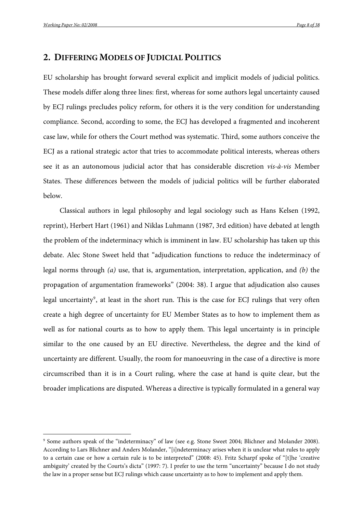<span id="page-7-0"></span>*Working Paper No: 02/2008 Page 8 of 38*

-

### **2. DIFFERING MODELS OF JUDICIAL POLITICS**

EU scholarship has brought forward several explicit and implicit models of judicial politics. These models differ along three lines: first, whereas for some authors legal uncertainty caused by ECJ rulings precludes policy reform, for others it is the very condition for understanding compliance. Second, according to some, the ECJ has developed a fragmented and incoherent case law, while for others the Court method was systematic. Third, some authors conceive the ECJ as a rational strategic actor that tries to accommodate political interests, whereas others see it as an autonomous judicial actor that has considerable discretion *vis-à-vis* Member States. These differences between the models of judicial politics will be further elaborated below.

Classical authors in legal philosophy and legal sociology such as Hans Kelsen (1992, reprint), Herbert Hart (1961) and Niklas Luhmann (1987, 3rd edition) have debated at length the problem of the indeterminacy which is imminent in law. EU scholarship has taken up this debate. Alec Stone Sweet held that "adjudication functions to reduce the indeterminacy of legal norms through *(a)* use, that is, argumentation, interpretation, application, and *(b)* the propagation of argumentation frameworks" (2004: 38). I argue that adjudication also causes legal uncertainty<sup>[9](#page-7-1)</sup>, at least in the short run. This is the case for ECJ rulings that very often create a high degree of uncertainty for EU Member States as to how to implement them as well as for national courts as to how to apply them. This legal uncertainty is in principle similar to the one caused by an EU directive. Nevertheless, the degree and the kind of uncertainty are different. Usually, the room for manoeuvring in the case of a directive is more circumscribed than it is in a Court ruling, where the case at hand is quite clear, but the broader implications are disputed. Whereas a directive is typically formulated in a general way

<span id="page-7-1"></span><sup>9</sup> Some authors speak of the "indeterminacy" of law (see e.g. Stone Sweet 2004; Blichner and Molander 2008). According to Lars Blichner and Anders Molander, "[i]ndeterminacy arises when it is unclear what rules to apply to a certain case or how a certain rule is to be interpreted" (2008: 45). Fritz Scharpf spoke of "[t]he 'creative ambiguity' created by the Courts's dicta" (1997: 7). I prefer to use the term "uncertainty" because I do not study the law in a proper sense but ECJ rulings which cause uncertainty as to how to implement and apply them.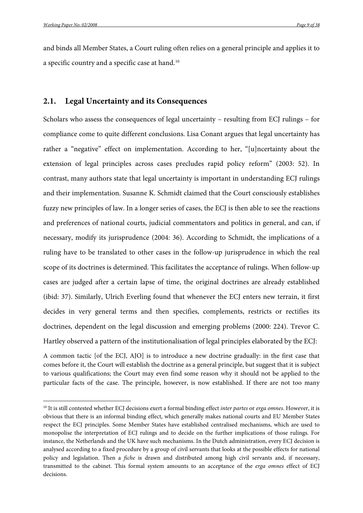<span id="page-8-0"></span>and binds all Member States, a Court ruling often relies on a general principle and applies it to a specific country and a specific case at hand.[10](#page-8-1)

#### **2.1. Legal Uncertainty and its Consequences**

Scholars who assess the consequences of legal uncertainty – resulting from ECJ rulings – for compliance come to quite different conclusions. Lisa Conant argues that legal uncertainty has rather a "negative" effect on implementation. According to her, "[u]ncertainty about the extension of legal principles across cases precludes rapid policy reform" (2003: 52). In contrast, many authors state that legal uncertainty is important in understanding ECJ rulings and their implementation. Susanne K. Schmidt claimed that the Court consciously establishes fuzzy new principles of law. In a longer series of cases, the ECJ is then able to see the reactions and preferences of national courts, judicial commentators and politics in general, and can, if necessary, modify its jurisprudence (2004: 36). According to Schmidt, the implications of a ruling have to be translated to other cases in the follow-up jurisprudence in which the real scope of its doctrines is determined. This facilitates the acceptance of rulings. When follow-up cases are judged after a certain lapse of time, the original doctrines are already established (ibid: 37). Similarly, Ulrich Everling found that whenever the ECJ enters new terrain, it first decides in very general terms and then specifies, complements, restricts or rectifies its doctrines, dependent on the legal discussion and emerging problems (2000: 224). Trevor C. Hartley observed a pattern of the institutionalisation of legal principles elaborated by the ECJ:

A common tactic [of the ECJ, AJO] is to introduce a new doctrine gradually: in the first case that comes before it, the Court will establish the doctrine as a general principle, but suggest that it is subject to various qualifications; the Court may even find some reason why it should not be applied to the particular facts of the case. The principle, however, is now established. If there are not too many

<span id="page-8-1"></span><sup>10</sup> It is still contested whether ECJ decisions exert a formal binding effect *inter partes* or *erga omnes*. However, it is obvious that there is an informal binding effect, which generally makes national courts and EU Member States respect the ECJ principles. Some Member States have established centralised mechanisms, which are used to monopolise the interpretation of ECJ rulings and to decide on the further implications of those rulings. For instance, the Netherlands and the UK have such mechanisms. In the Dutch administration, every ECJ decision is analysed according to a fixed procedure by a group of civil servants that looks at the possible effects for national policy and legislation. Then a *fiche* is drawn and distributed among high civil servants and, if necessary, transmitted to the cabinet. This formal system amounts to an acceptance of the *erga omnes* effect of ECJ decisions.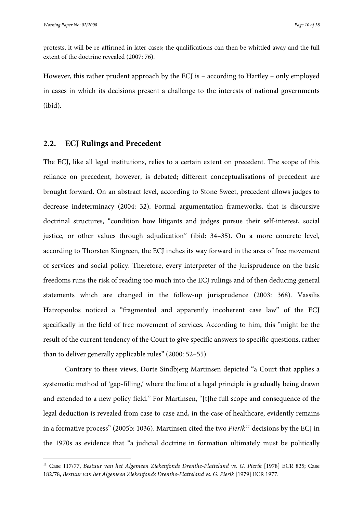<span id="page-9-0"></span>protests, it will be re-affirmed in later cases; the qualifications can then be whittled away and the full extent of the doctrine revealed (2007: 76).

However, this rather prudent approach by the ECJ is – according to Hartley – only employed in cases in which its decisions present a challenge to the interests of national governments (ibid).

### **2.2. ECJ Rulings and Precedent**

The ECJ, like all legal institutions, relies to a certain extent on precedent. The scope of this reliance on precedent, however, is debated; different conceptualisations of precedent are brought forward. On an abstract level, according to Stone Sweet, precedent allows judges to decrease indeterminacy (2004: 32). Formal argumentation frameworks, that is discursive doctrinal structures, "condition how litigants and judges pursue their self-interest, social justice, or other values through adjudication" (ibid: 34–35). On a more concrete level, according to Thorsten Kingreen, the ECJ inches its way forward in the area of free movement of services and social policy. Therefore, every interpreter of the jurisprudence on the basic freedoms runs the risk of reading too much into the ECJ rulings and of then deducing general statements which are changed in the follow-up jurisprudence (2003: 368). Vassilis Hatzopoulos noticed a "fragmented and apparently incoherent case law" of the ECJ specifically in the field of free movement of services. According to him, this "might be the result of the current tendency of the Court to give specific answers to specific questions, rather than to deliver generally applicable rules" (2000: 52–55).

Contrary to these views, Dorte Sindbjerg Martinsen depicted "a Court that applies a systematic method of 'gap-filling,' where the line of a legal principle is gradually being drawn and extended to a new policy field." For Martinsen, "[t]he full scope and consequence of the legal deduction is revealed from case to case and, in the case of healthcare, evidently remains in a formative process" (2005b: 1036). Martinsen cited the two *Pierik[11](#page-9-1)* decisions by the ECJ in the 1970s as evidence that "a judicial doctrine in formation ultimately must be politically

<span id="page-9-1"></span><sup>11</sup> Case 117/77, *Bestuur van het Algemeen Ziekenfonds Drenthe-Platteland vs. G. Pierik* [1978] ECR 825; Case 182/78, *Bestuur van het Algemeen Ziekenfonds Drenthe-Platteland vs. G. Pierik* [1979] ECR 1977.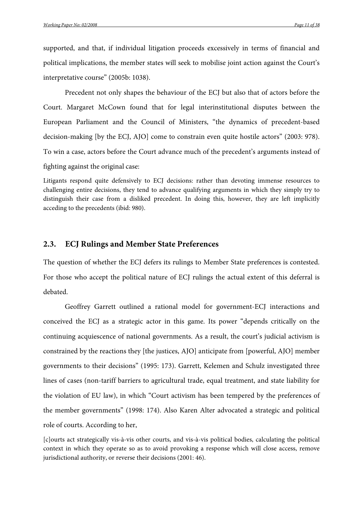<span id="page-10-0"></span>supported, and that, if individual litigation proceeds excessively in terms of financial and political implications, the member states will seek to mobilise joint action against the Court's interpretative course" (2005b: 1038).

Precedent not only shapes the behaviour of the ECJ but also that of actors before the Court. Margaret McCown found that for legal interinstitutional disputes between the European Parliament and the Council of Ministers, "the dynamics of precedent-based decision-making [by the ECJ, AJO] come to constrain even quite hostile actors" (2003: 978). To win a case, actors before the Court advance much of the precedent's arguments instead of fighting against the original case:

Litigants respond quite defensively to ECJ decisions: rather than devoting immense resources to challenging entire decisions, they tend to advance qualifying arguments in which they simply try to distinguish their case from a disliked precedent. In doing this, however, they are left implicitly acceding to the precedents (ibid: 980).

#### **2.3. ECJ Rulings and Member State Preferences**

The question of whether the ECJ defers its rulings to Member State preferences is contested. For those who accept the political nature of ECJ rulings the actual extent of this deferral is debated.

Geoffrey Garrett outlined a rational model for government-ECJ interactions and conceived the ECJ as a strategic actor in this game. Its power "depends critically on the continuing acquiescence of national governments. As a result, the court's judicial activism is constrained by the reactions they [the justices, AJO] anticipate from [powerful, AJO] member governments to their decisions" (1995: 173). Garrett, Kelemen and Schulz investigated three lines of cases (non-tariff barriers to agricultural trade, equal treatment, and state liability for the violation of EU law), in which "Court activism has been tempered by the preferences of the member governments" (1998: 174). Also Karen Alter advocated a strategic and political role of courts. According to her,

[c]ourts act strategically vis-à-vis other courts, and vis-à-vis political bodies, calculating the political context in which they operate so as to avoid provoking a response which will close access, remove jurisdictional authority, or reverse their decisions (2001: 46).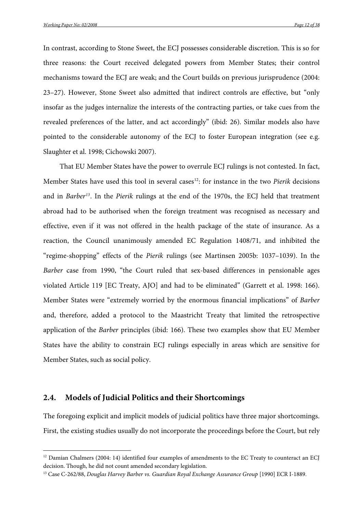<span id="page-11-0"></span>In contrast, according to Stone Sweet, the ECJ possesses considerable discretion. This is so for three reasons: the Court received delegated powers from Member States; their control mechanisms toward the ECJ are weak; and the Court builds on previous jurisprudence (2004: 23–27). However, Stone Sweet also admitted that indirect controls are effective, but "only insofar as the judges internalize the interests of the contracting parties, or take cues from the revealed preferences of the latter, and act accordingly" (ibid: 26). Similar models also have pointed to the considerable autonomy of the ECJ to foster European integration (see e.g. Slaughter et al. 1998; Cichowski 2007).

That EU Member States have the power to overrule ECJ rulings is not contested. In fact, Member States have used this tool in several cases<sup>[12](#page-11-1)</sup>: for instance in the two *Pierik* decisions and in *Barber[13](#page-11-2)*. In the *Pierik* rulings at the end of the 1970s, the ECJ held that treatment abroad had to be authorised when the foreign treatment was recognised as necessary and effective, even if it was not offered in the health package of the state of insurance. As a reaction, the Council unanimously amended EC Regulation 1408/71, and inhibited the "regime-shopping" effects of the *Pierik* rulings (see Martinsen 2005b: 1037–1039). In the *Barber* case from 1990, "the Court ruled that sex-based differences in pensionable ages violated Article 119 [EC Treaty, AJO] and had to be eliminated" (Garrett et al. 1998: 166). Member States were "extremely worried by the enormous financial implications" of *Barber* and, therefore, added a protocol to the Maastricht Treaty that limited the retrospective application of the *Barber* principles (ibid: 166). These two examples show that EU Member States have the ability to constrain ECJ rulings especially in areas which are sensitive for Member States, such as social policy.

#### **2.4. Models of Judicial Politics and their Shortcomings**

-

The foregoing explicit and implicit models of judicial politics have three major shortcomings. First, the existing studies usually do not incorporate the proceedings before the Court, but rely

<span id="page-11-1"></span><sup>&</sup>lt;sup>12</sup> Damian Chalmers (2004: 14) identified four examples of amendments to the EC Treaty to counteract an ECJ decision. Though, he did not count amended secondary legislation.

<span id="page-11-2"></span><sup>13</sup> Case C-262/88, *Douglas Harvey Barber vs. Guardian Royal Exchange Assurance Group* [1990] ECR I-1889.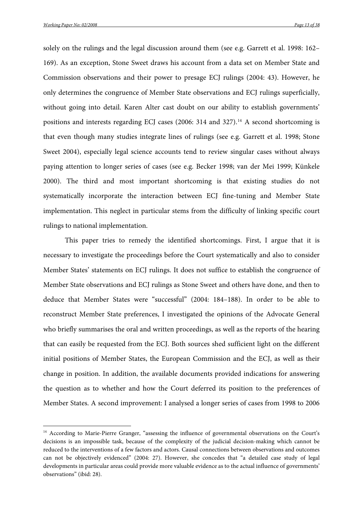solely on the rulings and the legal discussion around them (see e.g. Garrett et al. 1998: 162– 169). As an exception, Stone Sweet draws his account from a data set on Member State and Commission observations and their power to presage ECJ rulings (2004: 43). However, he only determines the congruence of Member State observations and ECJ rulings superficially, without going into detail. Karen Alter cast doubt on our ability to establish governments' positions and interests regarding ECJ cases (2006: 3[14](#page-12-0) and 327).<sup>14</sup> A second shortcoming is that even though many studies integrate lines of rulings (see e.g. Garrett et al. 1998; Stone Sweet 2004), especially legal science accounts tend to review singular cases without always paying attention to longer series of cases (see e.g. Becker 1998; van der Mei 1999; Künkele 2000). The third and most important shortcoming is that existing studies do not systematically incorporate the interaction between ECJ fine-tuning and Member State implementation. This neglect in particular stems from the difficulty of linking specific court rulings to national implementation.

This paper tries to remedy the identified shortcomings. First, I argue that it is necessary to investigate the proceedings before the Court systematically and also to consider Member States' statements on ECJ rulings. It does not suffice to establish the congruence of Member State observations and ECJ rulings as Stone Sweet and others have done, and then to deduce that Member States were "successful" (2004: 184–188). In order to be able to reconstruct Member State preferences, I investigated the opinions of the Advocate General who briefly summarises the oral and written proceedings, as well as the reports of the hearing that can easily be requested from the ECJ. Both sources shed sufficient light on the different initial positions of Member States, the European Commission and the ECJ, as well as their change in position. In addition, the available documents provided indications for answering the question as to whether and how the Court deferred its position to the preferences of Member States. A second improvement: I analysed a longer series of cases from 1998 to 2006

<span id="page-12-0"></span><sup>&</sup>lt;sup>14</sup> According to Marie-Pierre Granger, "assessing the influence of governmental observations on the Court's decisions is an impossible task, because of the complexity of the judicial decision-making which cannot be reduced to the interventions of a few factors and actors. Causal connections between observations and outcomes can not be objectively evidenced" (2004: 27). However, she concedes that "a detailed case study of legal developments in particular areas could provide more valuable evidence as to the actual influence of governments' observations" (ibid: 28).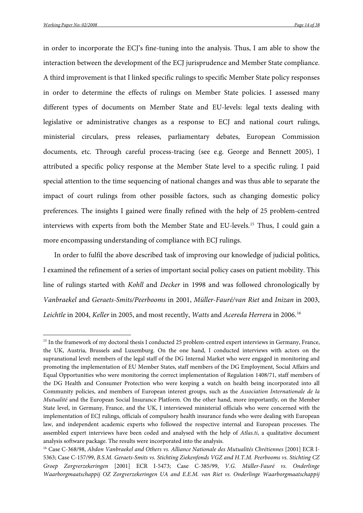in order to incorporate the ECJ's fine-tuning into the analysis. Thus, I am able to show the interaction between the development of the ECJ jurisprudence and Member State compliance. A third improvement is that I linked specific rulings to specific Member State policy responses in order to determine the effects of rulings on Member State policies. I assessed many different types of documents on Member State and EU-levels: legal texts dealing with legislative or administrative changes as a response to ECJ and national court rulings, ministerial circulars, press releases, parliamentary debates, European Commission documents, etc. Through careful process-tracing (see e.g. George and Bennett 2005), I attributed a specific policy response at the Member State level to a specific ruling. I paid special attention to the time sequencing of national changes and was thus able to separate the impact of court rulings from other possible factors, such as changing domestic policy preferences. The insights I gained were finally refined with the help of 25 problem-centred interviews with experts from both the Member State and EU-levels.[15](#page-13-0) Thus, I could gain a more encompassing understanding of compliance with ECJ rulings.

In order to fulfil the above described task of improving our knowledge of judicial politics, I examined the refinement of a series of important social policy cases on patient mobility. This line of rulings started with *Kohll* and *Decker* in 1998 and was followed chronologically by *Vanbraekel* and *Geraets-Smits/Peerbooms* in 2001, *Müller-Fauré/van Riet* and *Inizan* in 2003, *Leichtle* in 2004, *Keller* in 2005, and most recently, *Watts* and *Acereda Herrera* in 2006.[16](#page-13-1)

<span id="page-13-0"></span><sup>&</sup>lt;sup>15</sup> In the framework of my doctoral thesis I conducted 25 problem-centred expert interviews in Germany, France, the UK, Austria, Brussels and Luxemburg. On the one hand, I conducted interviews with actors on the supranational level: members of the legal staff of the DG Internal Market who were engaged in monitoring and promoting the implementation of EU Member States, staff members of the DG Employment, Social Affairs and Equal Opportunities who were monitoring the correct implementation of Regulation 1408/71, staff members of the DG Health and Consumer Protection who were keeping a watch on health being incorporated into all Community policies, and members of European interest groups, such as the *Association Internationale de la Mutualité* and the European Social Insurance Platform. On the other hand, more importantly, on the Member State level, in Germany, France, and the UK, I interviewed ministerial officials who were concerned with the implementation of ECJ rulings, officials of compulsory health insurance funds who were dealing with European law, and independent academic experts who followed the respective internal and European processes. The assembled expert interviews have been coded and analysed with the help of *Atlas.ti*, a qualitative document analysis software package. The results were incorporated into the analysis.

<span id="page-13-1"></span><sup>16</sup> Case C-368/98, *Abdon Vanbraekel and Others vs. Alliance Nationale des Mutualités Chrétiennes* [2001] ECR I-5363; Case C-157/99, *B.S.M. Geraets-Smits vs. Stichting Ziekenfonds VGZ and H.T.M. Peerbooms vs. Stichting CZ Groep Zorgverzekeringen* [2001] ECR I-5473; Case C-385/99, *V.G. Müller-Fauré vs. Onderlinge Waarborgmaatschappij OZ Zorgverzekeringen UA and E.E.M. van Riet vs. Onderlinge Waarborgmaatschappij*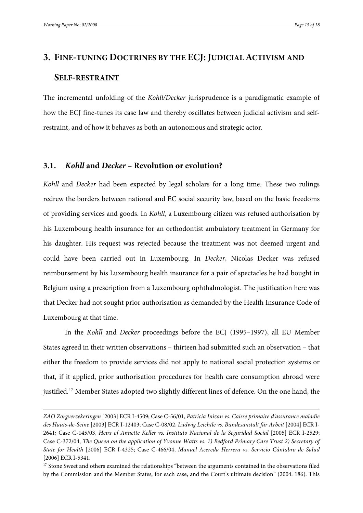# <span id="page-14-0"></span>**3. FINE-TUNING DOCTRINES BY THE ECJ:JUDICIAL ACTIVISM AND SELF-RESTRAINT**

The incremental unfolding of the *Kohll/Decker* jurisprudence is a paradigmatic example of how the ECJ fine-tunes its case law and thereby oscillates between judicial activism and selfrestraint, and of how it behaves as both an autonomous and strategic actor.

#### **3.1.** *Kohll* **and** *Decker* **– Revolution or evolution?**

*Kohll* and *Decker* had been expected by legal scholars for a long time. These two rulings redrew the borders between national and EC social security law, based on the basic freedoms of providing services and goods. In *Kohll*, a Luxembourg citizen was refused authorisation by his Luxembourg health insurance for an orthodontist ambulatory treatment in Germany for his daughter. His request was rejected because the treatment was not deemed urgent and could have been carried out in Luxembourg. In *Decker*, Nicolas Decker was refused reimbursement by his Luxembourg health insurance for a pair of spectacles he had bought in Belgium using a prescription from a Luxembourg ophthalmologist. The justification here was that Decker had not sought prior authorisation as demanded by the Health Insurance Code of Luxembourg at that time.

In the *Kohll* and *Decker* proceedings before the ECJ (1995–1997), all EU Member States agreed in their written observations – thirteen had submitted such an observation – that either the freedom to provide services did not apply to national social protection systems or that, if it applied, prior authorisation procedures for health care consumption abroad were justified.[17](#page-14-1) Member States adopted two slightly different lines of defence. On the one hand, the

*ZAO Zorgverzekeringen* [2003] ECR I-4509; Case C-56/01, *Patricia Inizan vs. Caisse primaire d'assurance maladie des Hauts-de-Seine* [2003] ECR I-12403; Case C-08/02, *Ludwig Leichtle vs. Bundesanstalt für Arbeit* [2004] ECR I-2641; Case C-145/03, *Heirs of Annette Keller vs. Instituto Nacional de la Seguridad Social* [2005] ECR I-2529; Case C-372/04, *The Queen on the application of Yvonne Watts vs. 1) Bedford Primary Care Trust 2) Secretary of State for Health* [2006] ECR I-4325; Case C-466/04, *Manuel Acereda Herrera vs. Servicio Cántabro de Salud* [2006] ECR I-5341.

<span id="page-14-1"></span><sup>&</sup>lt;sup>17</sup> Stone Sweet and others examined the relationships "between the arguments contained in the observations filed by the Commission and the Member States, for each case, and the Court's ultimate decision" (2004: 186). This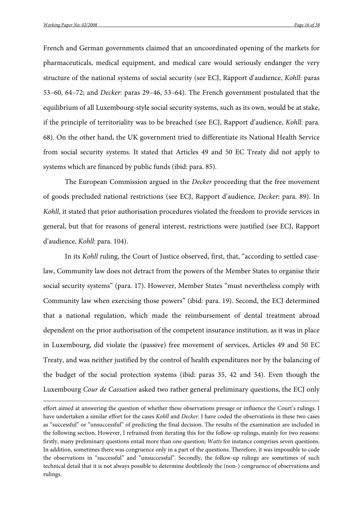French and German governments claimed that an uncoordinated opening of the markets for pharmaceuticals, medical equipment, and medical care would seriously endanger the very structure of the national systems of social security (see ECJ, Rapport d'audience, *Kohll*: paras 53–60, 64–72; and *Decker*: paras 29–46, 53–64). The French government postulated that the equilibrium of all Luxembourg-style social security systems, such as its own, would be at stake, if the principle of territoriality was to be breached (see ECJ, Rapport d'audience, *Kohll*: para. 68). On the other hand, the UK government tried to differentiate its National Health Service from social security systems. It stated that Articles 49 and 50 EC Treaty did not apply to systems which are financed by public funds (ibid: para. 85).

The European Commission argued in the *Decker* proceeding that the free movement of goods precluded national restrictions (see ECJ, Rapport d'audience, *Decker*: para. 89). In *Kohll*, it stated that prior authorisation procedures violated the freedom to provide services in general, but that for reasons of general interest, restrictions were justified (see ECJ, Rapport d'audience, *Kohll*: para. 104).

In its *Kohll* ruling, the Court of Justice observed, first, that, "according to settled caselaw, Community law does not detract from the powers of the Member States to organise their social security systems" (para. 17). However, Member States "must nevertheless comply with Community law when exercising those powers" (ibid: para. 19). Second, the ECJ determined that a national regulation, which made the reimbursement of dental treatment abroad dependent on the prior authorisation of the competent insurance institution, as it was in place in Luxembourg, did violate the (passive) free movement of services, Articles 49 and 50 EC Treaty, and was neither justified by the control of health expenditures nor by the balancing of the budget of the social protection systems (ibid: paras 35, 42 and 54). Even though the Luxembourg *Cour de Cassation* asked two rather general preliminary questions, the ECJ only

effort aimed at answering the question of whether these observations presage or influence the Court's rulings. I have undertaken a similar effort for the cases *Kohll* and *Decker*. I have coded the observations in these two cases as "successful" or "unsuccessful" of predicting the final decision. The results of the examination are included in the following section. However, I refrained from iterating this for the follow-up rulings, mainly for two reasons: firstly, many preliminary questions entail more than one question; *Watts* for instance comprises seven questions. In addition, sometimes there was congruence only in a part of the questions. Therefore, it was impossible to code the observations in "successful" and "unsuccessful". Secondly, the follow-up rulings are sometimes of such technical detail that it is not always possible to determine doubtlessly the (non-) congruence of observations and rulings.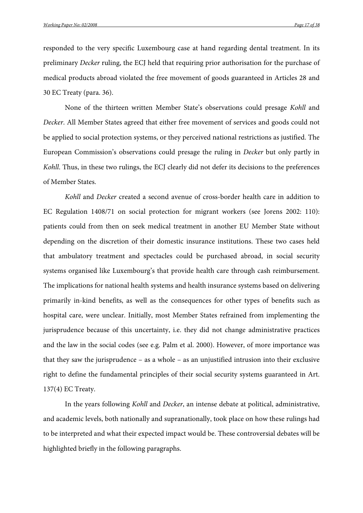responded to the very specific Luxembourg case at hand regarding dental treatment. In its preliminary *Decker* ruling, the ECJ held that requiring prior authorisation for the purchase of medical products abroad violated the free movement of goods guaranteed in Articles 28 and 30 EC Treaty (para. 36).

None of the thirteen written Member State's observations could presage *Kohll* and *Decker*. All Member States agreed that either free movement of services and goods could not be applied to social protection systems, or they perceived national restrictions as justified. The European Commission's observations could presage the ruling in *Decker* but only partly in *Kohll*. Thus, in these two rulings, the ECJ clearly did not defer its decisions to the preferences of Member States.

*Kohll* and *Decker* created a second avenue of cross-border health care in addition to EC Regulation 1408/71 on social protection for migrant workers (see Jorens 2002: 110): patients could from then on seek medical treatment in another EU Member State without depending on the discretion of their domestic insurance institutions. These two cases held that ambulatory treatment and spectacles could be purchased abroad, in social security systems organised like Luxembourg's that provide health care through cash reimbursement. The implications for national health systems and health insurance systems based on delivering primarily in-kind benefits, as well as the consequences for other types of benefits such as hospital care, were unclear. Initially, most Member States refrained from implementing the jurisprudence because of this uncertainty, i.e. they did not change administrative practices and the law in the social codes (see e.g. Palm et al. 2000). However, of more importance was that they saw the jurisprudence – as a whole – as an unjustified intrusion into their exclusive right to define the fundamental principles of their social security systems guaranteed in Art. 137(4) EC Treaty.

In the years following *Kohll* and *Decker*, an intense debate at political, administrative, and academic levels, both nationally and supranationally, took place on how these rulings had to be interpreted and what their expected impact would be. These controversial debates will be highlighted briefly in the following paragraphs.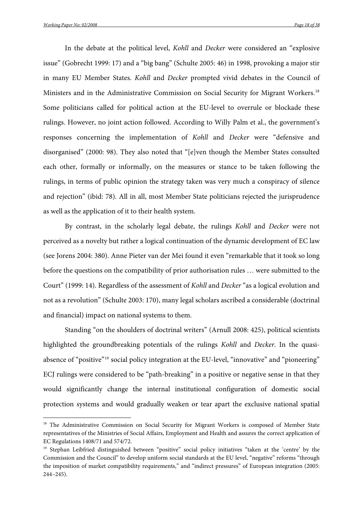In the debate at the political level, *Kohll* and *Decker* were considered an "explosive issue" (Gobrecht 1999: 17) and a "big bang" (Schulte 2005: 46) in 1998, provoking a major stir in many EU Member States. *Kohll* and *Decker* prompted vivid debates in the Council of Ministers and in the Administrative Commission on Social Security for Migrant Workers.[18](#page-17-0) Some politicians called for political action at the EU-level to overrule or blockade these rulings. However, no joint action followed. According to Willy Palm et al., the government's responses concerning the implementation of *Kohll* and *Decker* were "defensive and disorganised" (2000: 98). They also noted that "[e]ven though the Member States consulted each other, formally or informally, on the measures or stance to be taken following the rulings, in terms of public opinion the strategy taken was very much a conspiracy of silence and rejection" (ibid: 78). All in all, most Member State politicians rejected the jurisprudence as well as the application of it to their health system.

By contrast, in the scholarly legal debate, the rulings *Kohll* and *Decker* were not perceived as a novelty but rather a logical continuation of the dynamic development of EC law (see Jorens 2004: 380). Anne Pieter van der Mei found it even "remarkable that it took so long before the questions on the compatibility of prior authorisation rules … were submitted to the Court" (1999: 14). Regardless of the assessment of *Kohll* and *Decker* "as a logical evolution and not as a revolution" (Schulte 2003: 170), many legal scholars ascribed a considerable (doctrinal and financial) impact on national systems to them.

Standing "on the shoulders of doctrinal writers" (Arnull 2008: 425), political scientists highlighted the groundbreaking potentials of the rulings *Kohll* and *Decker*. In the quasi-absence of "positive"<sup>[19](#page-17-1)</sup> social policy integration at the EU-level, "innovative" and "pioneering" ECJ rulings were considered to be "path-breaking" in a positive or negative sense in that they would significantly change the internal institutional configuration of domestic social protection systems and would gradually weaken or tear apart the exclusive national spatial

<span id="page-17-0"></span><sup>&</sup>lt;sup>18</sup> The Administrative Commission on Social Security for Migrant Workers is composed of Member State representatives of the Ministries of Social Affairs, Employment and Health and assures the correct application of EC Regulations 1408/71 and 574/72.

<span id="page-17-1"></span><sup>19</sup> Stephan Leibfried distinguished between "positive" social policy initiatives "taken at the 'centre' by the Commission and the Council" to develop uniform social standards at the EU level, "negative" reforms "through the imposition of market compatibility requirements," and "indirect pressures" of European integration (2005: 244–245).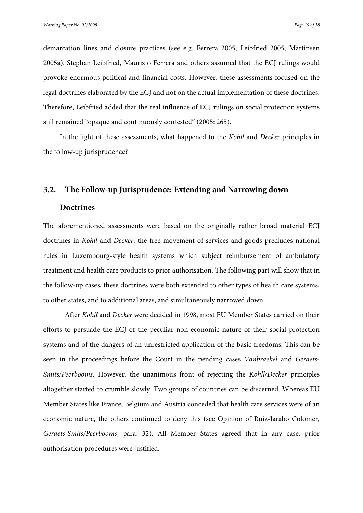<span id="page-18-0"></span>demarcation lines and closure practices (see e.g. Ferrera 2005; Leibfried 2005; Martinsen 2005a). Stephan Leibfried, Maurizio Ferrera and others assumed that the ECJ rulings would provoke enormous political and financial costs. However, these assessments focused on the legal doctrines elaborated by the ECJ and not on the actual implementation of these doctrines. Therefore, Leibfried added that the real influence of ECJ rulings on social protection systems still remained "opaque and continuously contested" (2005: 265).

In the light of these assessments, what happened to the *Kohll* and *Decker* principles in the follow-up jurisprudence?

#### **3.2. The Follow-up Jurisprudence: Extending and Narrowing down**

#### **Doctrines**

The aforementioned assessments were based on the originally rather broad material ECJ doctrines in *Kohll* and *Decker*: the free movement of services and goods precludes national rules in Luxembourg-style health systems which subject reimbursement of ambulatory treatment and health care products to prior authorisation. The following part will show that in the follow-up cases, these doctrines were both extended to other types of health care systems, to other states, and to additional areas, and simultaneously narrowed down.

After *Kohll* and *Decker* were decided in 1998, most EU Member States carried on their efforts to persuade the ECJ of the peculiar non-economic nature of their social protection systems and of the dangers of an unrestricted application of the basic freedoms. This can be seen in the proceedings before the Court in the pending cases *Vanbraekel* and *Geraets-Smits/Peerbooms*. However, the unanimous front of rejecting the *Kohll/Decker* principles altogether started to crumble slowly. Two groups of countries can be discerned. Whereas EU Member States like France, Belgium and Austria conceded that health care services were of an economic nature, the others continued to deny this (see Opinion of Ruiz-Jarabo Colomer, *Geraets-Smits/Peerbooms*, para. 32). All Member States agreed that in any case, prior authorisation procedures were justified.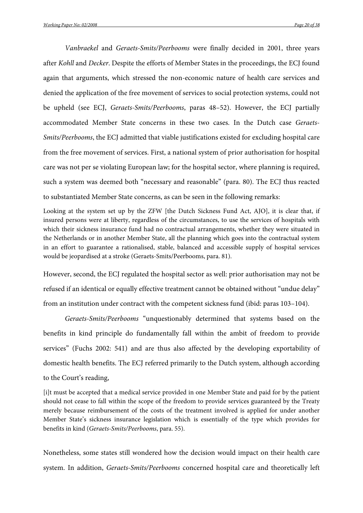*Vanbraekel* and *Geraets-Smits/Peerbooms* were finally decided in 2001, three years after *Kohll* and *Decker*. Despite the efforts of Member States in the proceedings, the ECJ found again that arguments, which stressed the non-economic nature of health care services and denied the application of the free movement of services to social protection systems, could not be upheld (see ECJ, *Geraets-Smits/Peerbooms*, paras 48–52). However, the ECJ partially accommodated Member State concerns in these two cases. In the Dutch case *Geraets-Smits/Peerbooms*, the ECJ admitted that viable justifications existed for excluding hospital care from the free movement of services. First, a national system of prior authorisation for hospital care was not per se violating European law; for the hospital sector, where planning is required, such a system was deemed both "necessary and reasonable" (para. 80). The ECJ thus reacted to substantiated Member State concerns, as can be seen in the following remarks:

Looking at the system set up by the ZFW [the Dutch Sickness Fund Act, AJO], it is clear that, if insured persons were at liberty, regardless of the circumstances, to use the services of hospitals with which their sickness insurance fund had no contractual arrangements, whether they were situated in the Netherlands or in another Member State, all the planning which goes into the contractual system in an effort to guarantee a rationalised, stable, balanced and accessible supply of hospital services would be jeopardised at a stroke (Geraets-Smits/Peerbooms, para. 81).

However, second, the ECJ regulated the hospital sector as well: prior authorisation may not be refused if an identical or equally effective treatment cannot be obtained without "undue delay" from an institution under contract with the competent sickness fund (ibid: paras 103–104).

*Geraets-Smits/Peerbooms* "unquestionably determined that systems based on the benefits in kind principle do fundamentally fall within the ambit of freedom to provide services" (Fuchs 2002: 541) and are thus also affected by the developing exportability of domestic health benefits. The ECJ referred primarily to the Dutch system, although according to the Court's reading,

[i]t must be accepted that a medical service provided in one Member State and paid for by the patient should not cease to fall within the scope of the freedom to provide services guaranteed by the Treaty merely because reimbursement of the costs of the treatment involved is applied for under another Member State's sickness insurance legislation which is essentially of the type which provides for benefits in kind (*Geraets-Smits/Peerbooms*, para. 55).

Nonetheless, some states still wondered how the decision would impact on their health care system. In addition, *Geraets-Smits/Peerbooms* concerned hospital care and theoretically left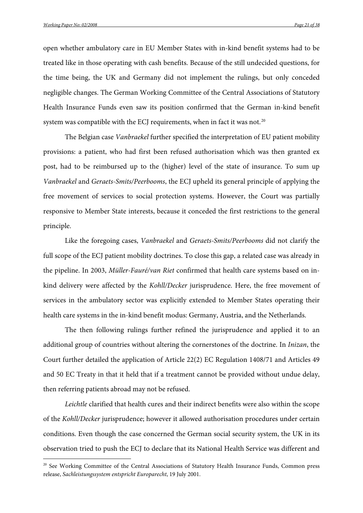open whether ambulatory care in EU Member States with in-kind benefit systems had to be treated like in those operating with cash benefits. Because of the still undecided questions, for the time being, the UK and Germany did not implement the rulings, but only conceded negligible changes. The German Working Committee of the Central Associations of Statutory Health Insurance Funds even saw its position confirmed that the German in-kind benefit system was compatible with the ECJ requirements, when in fact it was not.<sup>[20](#page-20-0)</sup>

The Belgian case *Vanbraekel* further specified the interpretation of EU patient mobility provisions: a patient, who had first been refused authorisation which was then granted ex post, had to be reimbursed up to the (higher) level of the state of insurance. To sum up *Vanbraekel* and *Geraets-Smits/Peerbooms*, the ECJ upheld its general principle of applying the free movement of services to social protection systems. However, the Court was partially responsive to Member State interests, because it conceded the first restrictions to the general principle.

Like the foregoing cases, *Vanbraekel* and *Geraets-Smits/Peerbooms* did not clarify the full scope of the ECJ patient mobility doctrines. To close this gap, a related case was already in the pipeline. In 2003, *Müller-Fauré/van Riet* confirmed that health care systems based on inkind delivery were affected by the *Kohll/Decker* jurisprudence. Here, the free movement of services in the ambulatory sector was explicitly extended to Member States operating their health care systems in the in-kind benefit modus: Germany, Austria, and the Netherlands.

The then following rulings further refined the jurisprudence and applied it to an additional group of countries without altering the cornerstones of the doctrine. In *Inizan*, the Court further detailed the application of Article 22(2) EC Regulation 1408/71 and Articles 49 and 50 EC Treaty in that it held that if a treatment cannot be provided without undue delay, then referring patients abroad may not be refused.

*Leichtle* clarified that health cures and their indirect benefits were also within the scope of the *Kohll/Decker* jurisprudence; however it allowed authorisation procedures under certain conditions. Even though the case concerned the German social security system, the UK in its observation tried to push the ECJ to declare that its National Health Service was different and

<span id="page-20-0"></span><sup>20</sup> See Working Committee of the Central Associations of Statutory Health Insurance Funds, Common press release, *Sachleistungssystem entspricht Europarecht*, 19 July 2001.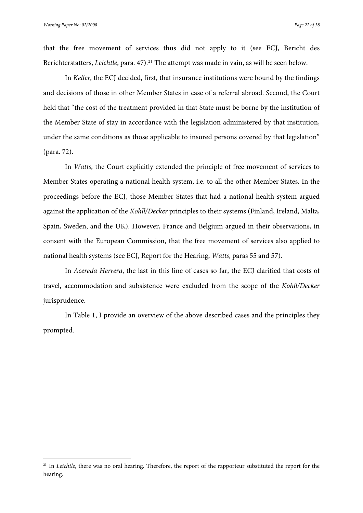that the free movement of services thus did not apply to it (see ECJ, Bericht des Berichterstatters, *Leichtle*, para. 47).<sup>[21](#page-21-0)</sup> The attempt was made in vain, as will be seen below.

In *Keller*, the ECJ decided, first, that insurance institutions were bound by the findings and decisions of those in other Member States in case of a referral abroad. Second, the Court held that "the cost of the treatment provided in that State must be borne by the institution of the Member State of stay in accordance with the legislation administered by that institution, under the same conditions as those applicable to insured persons covered by that legislation" (para. 72).

In *Watts*, the Court explicitly extended the principle of free movement of services to Member States operating a national health system, i.e. to all the other Member States. In the proceedings before the ECJ, those Member States that had a national health system argued against the application of the *Kohll/Decker* principles to their systems (Finland, Ireland, Malta, Spain, Sweden, and the UK). However, France and Belgium argued in their observations, in consent with the European Commission, that the free movement of services also applied to national health systems (see ECJ, Report for the Hearing, *Watts*, paras 55 and 57).

In *Acereda Herrera*, the last in this line of cases so far, the ECJ clarified that costs of travel, accommodation and subsistence were excluded from the scope of the *Kohll/Decker* jurisprudence.

In Table 1, I provide an overview of the above described cases and the principles they prompted.

<span id="page-21-0"></span><sup>&</sup>lt;sup>21</sup> In *Leichtle*, there was no oral hearing. Therefore, the report of the rapporteur substituted the report for the hearing.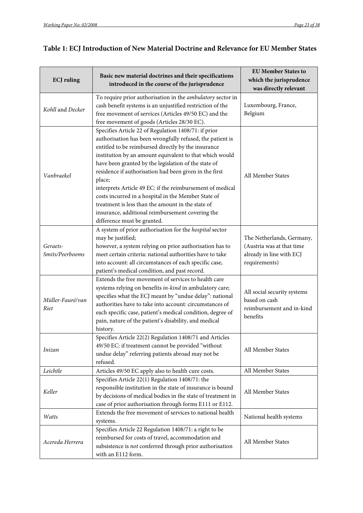# **Table 1: ECJ Introduction of New Material Doctrine and Relevance for EU Member States**

| <b>ECJ</b> ruling           | Basic new material doctrines and their specifications<br>introduced in the course of the jurisprudence                                                                                                                                                                                                                                                                                                                                                                                                                                                                                                                      | <b>EU Member States to</b><br>which the jurisprudence<br>was directly relevant                      |  |  |  |  |  |
|-----------------------------|-----------------------------------------------------------------------------------------------------------------------------------------------------------------------------------------------------------------------------------------------------------------------------------------------------------------------------------------------------------------------------------------------------------------------------------------------------------------------------------------------------------------------------------------------------------------------------------------------------------------------------|-----------------------------------------------------------------------------------------------------|--|--|--|--|--|
| Kohll and Decker            | To require prior authorisation in the ambulatory sector in<br>cash benefit systems is an unjustified restriction of the<br>free movement of services (Articles 49/50 EC) and the<br>free movement of goods (Articles 28/30 EC).                                                                                                                                                                                                                                                                                                                                                                                             | Luxembourg, France,<br>Belgium                                                                      |  |  |  |  |  |
| Vanbraekel                  | Specifies Article 22 of Regulation 1408/71: if prior<br>authorisation has been wrongfully refused, the patient is<br>entitled to be reimbursed directly by the insurance<br>institution by an amount equivalent to that which would<br>have been granted by the legislation of the state of<br>residence if authorisation had been given in the first<br>place;<br>interprets Article 49 EC: if the reimbursement of medical<br>costs incurred in a hospital in the Member State of<br>treatment is less than the amount in the state of<br>insurance, additional reimbursement covering the<br>difference must be granted. | All Member States                                                                                   |  |  |  |  |  |
| Geraets-<br>Smits/Peerbooms | A system of prior authorisation for the hospital sector<br>may be justified;<br>however, a system relying on prior authorisation has to<br>meet certain criteria: national authorities have to take<br>into account: all circumstances of each specific case,<br>patient's medical condition, and past record.                                                                                                                                                                                                                                                                                                              | The Netherlands, Germany,<br>(Austria was at that time<br>already in line with ECJ<br>requirements) |  |  |  |  |  |
| Müller-Fauré/van<br>Riet    | Extends the free movement of services to health care<br>systems relying on benefits in-kind in ambulatory care;<br>specifies what the ECJ meant by "undue delay": national<br>authorities have to take into account: circumstances of<br>each specific case, patient's medical condition, degree of<br>pain, nature of the patient's disability, and medical<br>history.                                                                                                                                                                                                                                                    | All social security systems<br>based on cash<br>reimbursement and in-kind<br>benefits               |  |  |  |  |  |
| Inizan                      | Specifies Article 22(2) Regulation 1408/71 and Articles<br>49/50 EC: if treatment cannot be provided "without<br>undue delay" referring patients abroad may not be<br>refused.                                                                                                                                                                                                                                                                                                                                                                                                                                              | All Member States                                                                                   |  |  |  |  |  |
| Leichtle                    | Articles 49/50 EC apply also to health cure costs.                                                                                                                                                                                                                                                                                                                                                                                                                                                                                                                                                                          | All Member States                                                                                   |  |  |  |  |  |
| Keller                      | Specifies Article 22(1) Regulation 1408/71: the<br>responsible institution in the state of insurance is bound<br>by decisions of medical bodies in the state of treatment in<br>case of prior authorisation through forms E111 or E112.                                                                                                                                                                                                                                                                                                                                                                                     | All Member States                                                                                   |  |  |  |  |  |
| Watts                       | Extends the free movement of services to national health<br>systems.                                                                                                                                                                                                                                                                                                                                                                                                                                                                                                                                                        | National health systems                                                                             |  |  |  |  |  |
| Acereda Herrera             | Specifies Article 22 Regulation 1408/71: a right to be<br>reimbursed for costs of travel, accommodation and<br>subsistence is not conferred through prior authorisation<br>with an E112 form.                                                                                                                                                                                                                                                                                                                                                                                                                               | All Member States                                                                                   |  |  |  |  |  |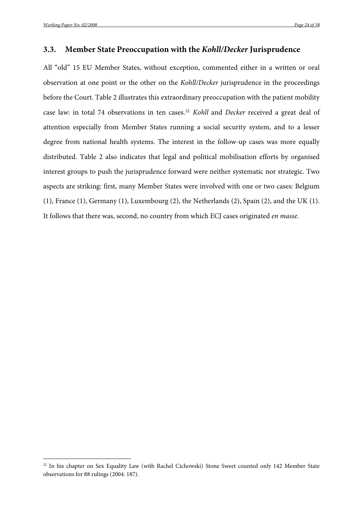<span id="page-23-0"></span>*Working Paper No: 02/2008 Page 24 of 38*

-

#### **3.3. Member State Preoccupation with the** *Kohll/Decker* **Jurisprudence**

All "old" 15 EU Member States, without exception, commented either in a written or oral observation at one point or the other on the *Kohll/Decker* jurisprudence in the proceedings before the Court. Table 2 illustrates this extraordinary preoccupation with the patient mobility case law: in total 74 observations in ten cases.<sup>[22](#page-23-1)</sup> *Kohll* and *Decker* received a great deal of attention especially from Member States running a social security system, and to a lesser degree from national health systems. The interest in the follow-up cases was more equally distributed. Table 2 also indicates that legal and political mobilisation efforts by organised interest groups to push the jurisprudence forward were neither systematic nor strategic. Two aspects are striking: first, many Member States were involved with one or two cases: Belgium (1), France (1), Germany (1), Luxembourg (2), the Netherlands (2), Spain (2), and the UK (1). It follows that there was, second, no country from which ECJ cases originated *en masse*.

<span id="page-23-1"></span><sup>&</sup>lt;sup>22</sup> In his chapter on Sex Equality Law (with Rachel Cichowski) Stone Sweet counted only 142 Member State observations for 88 rulings (2004: 187).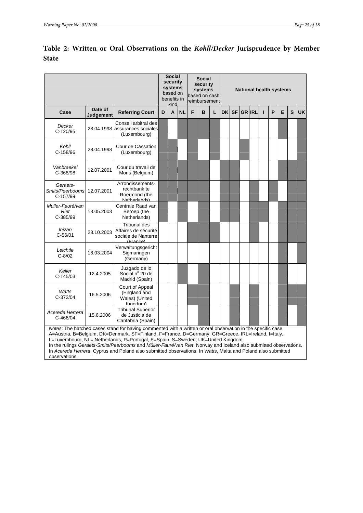|                                                                                                                                                                                                                                                                                                                                                                                                                              |                      |                                                                         | <b>Social</b><br>security<br>systems<br>based on<br>benefits in<br>kind |   | <b>Social</b><br>security<br>systems<br>based on cash<br>reimbursement |   |   | <b>National health systems</b> |  |  |              |  |              |   |   |   |           |
|------------------------------------------------------------------------------------------------------------------------------------------------------------------------------------------------------------------------------------------------------------------------------------------------------------------------------------------------------------------------------------------------------------------------------|----------------------|-------------------------------------------------------------------------|-------------------------------------------------------------------------|---|------------------------------------------------------------------------|---|---|--------------------------------|--|--|--------------|--|--------------|---|---|---|-----------|
| Case                                                                                                                                                                                                                                                                                                                                                                                                                         | Date of<br>Judgement | <b>Referring Court</b>                                                  | D                                                                       | A | <b>NL</b>                                                              | F | B | L                              |  |  | DK SF GR IRL |  | $\mathbf{I}$ | P | Е | S | <b>UK</b> |
| Decker<br>C-120/95                                                                                                                                                                                                                                                                                                                                                                                                           | 28.04.1998           | Conseil arbitral des<br>assurances sociales<br>(Luxembourg)             |                                                                         |   |                                                                        |   |   |                                |  |  |              |  |              |   |   |   |           |
| Kohll<br>C-158/96                                                                                                                                                                                                                                                                                                                                                                                                            | 28.04.1998           | Cour de Cassation<br>(Luxembourg)                                       |                                                                         |   |                                                                        |   |   |                                |  |  |              |  |              |   |   |   |           |
| Vanbraekel<br>C-368/98                                                                                                                                                                                                                                                                                                                                                                                                       | 12.07.2001           | Cour du travail de<br>Mons (Belgium)                                    |                                                                         |   |                                                                        |   |   |                                |  |  |              |  |              |   |   |   |           |
| Geraets-<br>Smits/Peerbooms<br>C-157/99                                                                                                                                                                                                                                                                                                                                                                                      | 12.07.2001           | Arrondissements-<br>rechtbank te<br>Roermond (the<br>Netherlands)       |                                                                         |   |                                                                        |   |   |                                |  |  |              |  |              |   |   |   |           |
| Müller-Fauré/van<br>Riet<br>C-385/99                                                                                                                                                                                                                                                                                                                                                                                         | 13.05.2003           | Centrale Raad van<br>Beroep (the<br>Netherlands)                        |                                                                         |   |                                                                        |   |   |                                |  |  |              |  |              |   |   |   |           |
| Inizan<br>$C - 56/01$                                                                                                                                                                                                                                                                                                                                                                                                        | 23.10.2003           | Tribunal des<br>Affaires de sécurité<br>sociale de Nanterre<br>(Franca) |                                                                         |   |                                                                        |   |   |                                |  |  |              |  |              |   |   |   |           |
| Leichtle<br>$C - 8/02$                                                                                                                                                                                                                                                                                                                                                                                                       | 18.03.2004           | Verwaltungsgericht<br>Sigmaringen<br>(Germany)                          |                                                                         |   |                                                                        |   |   |                                |  |  |              |  |              |   |   |   |           |
| Keller<br>$C-145/03$                                                                                                                                                                                                                                                                                                                                                                                                         | 12.4.2005            | Juzgado de lo<br>Social nº 20 de<br>Madrid (Spain)                      |                                                                         |   |                                                                        |   |   |                                |  |  |              |  |              |   |   |   |           |
| Watts<br>C-372/04                                                                                                                                                                                                                                                                                                                                                                                                            | 16.5.2006            | Court of Appeal<br>(England and<br>Wales) (United<br>Kingdom)           |                                                                         |   |                                                                        |   |   |                                |  |  |              |  |              |   |   |   |           |
| Acereda Herrera<br>C-466/04                                                                                                                                                                                                                                                                                                                                                                                                  | 15.6.2006            | <b>Tribunal Superior</b><br>de Justicia de<br>Cantabria (Spain)         |                                                                         |   |                                                                        |   |   |                                |  |  |              |  |              |   |   |   |           |
| Notes: The hatched cases stand for having commented with a written or oral observation in the specific case.<br>A=Austria, B=Belgium, DK=Denmark, SF=Finland, F=France, D=Germany, GR=Greece, IRL=Ireland, I=Italy,<br>L=Luxembourg, NL= Netherlands, P=Portugal, E=Spain, S=Sweden, UK=United Kingdom.<br>In the rulings Caracte Smite/Deerheams and Müller Equre from Diet Nerway and Jeoland also submitted observations. |                      |                                                                         |                                                                         |   |                                                                        |   |   |                                |  |  |              |  |              |   |   |   |           |

# **Table 2: Written or Oral Observations on the** *Kohll/Decker* **Jurisprudence by Member State**

In the rulings *Geraets-Smits/Peerbooms* and *Müller-Fauré/van Riet*, Norway and Iceland also submitted observations. In *Acereda Herrera*, Cyprus and Poland also submitted observations. In *Watts*, Malta and Poland also submitted observations.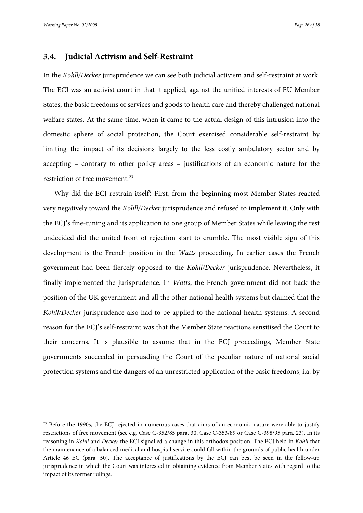#### <span id="page-25-0"></span>**3.4. Judicial Activism and Self-Restraint**

In the *Kohll/Decker* jurisprudence we can see both judicial activism and self-restraint at work. The ECJ was an activist court in that it applied, against the unified interests of EU Member States, the basic freedoms of services and goods to health care and thereby challenged national welfare states. At the same time, when it came to the actual design of this intrusion into the domestic sphere of social protection, the Court exercised considerable self-restraint by limiting the impact of its decisions largely to the less costly ambulatory sector and by accepting – contrary to other policy areas – justifications of an economic nature for the restriction of free movement.<sup>[23](#page-25-1)</sup>

Why did the ECJ restrain itself? First, from the beginning most Member States reacted very negatively toward the *Kohll/Decker* jurisprudence and refused to implement it. Only with the ECJ's fine-tuning and its application to one group of Member States while leaving the rest undecided did the united front of rejection start to crumble. The most visible sign of this development is the French position in the *Watts* proceeding. In earlier cases the French government had been fiercely opposed to the *Kohll/Decker* jurisprudence. Nevertheless, it finally implemented the jurisprudence. In *Watts*, the French government did not back the position of the UK government and all the other national health systems but claimed that the *Kohll/Decker* jurisprudence also had to be applied to the national health systems. A second reason for the ECJ's self-restraint was that the Member State reactions sensitised the Court to their concerns. It is plausible to assume that in the ECJ proceedings, Member State governments succeeded in persuading the Court of the peculiar nature of national social protection systems and the dangers of an unrestricted application of the basic freedoms, i.a. by

<span id="page-25-1"></span><sup>&</sup>lt;sup>23</sup> Before the 1990s, the ECJ rejected in numerous cases that aims of an economic nature were able to justify restrictions of free movement (see e.g. Case C-352/85 para. 30; Case C-353/89 or Case C-398/95 para. 23). In its reasoning in *Kohll* and *Decker* the ECJ signalled a change in this orthodox position. The ECJ held in *Kohll* that the maintenance of a balanced medical and hospital service could fall within the grounds of public health under Article 46 EC (para. 50). The acceptance of justifications by the ECJ can best be seen in the follow-up jurisprudence in which the Court was interested in obtaining evidence from Member States with regard to the impact of its former rulings.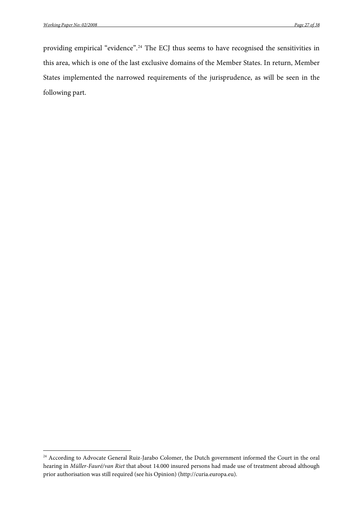providing empirical "evidence".<sup>[24](#page-26-0)</sup> The ECJ thus seems to have recognised the sensitivities in this area, which is one of the last exclusive domains of the Member States. In return, Member States implemented the narrowed requirements of the jurisprudence, as will be seen in the following part.

<span id="page-26-0"></span><sup>&</sup>lt;sup>24</sup> According to Advocate General Ruiz-Jarabo Colomer, the Dutch government informed the Court in the oral hearing in *Müller-Fauré/van Riet* that about 14.000 insured persons had made use of treatment abroad although prior authorisation was still required (see his Opinion) (http://curia.europa.eu).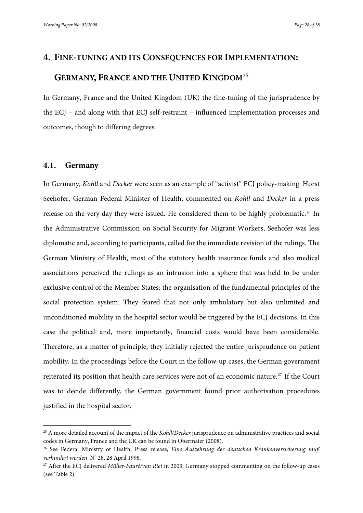# <span id="page-27-0"></span>**4. FINE-TUNING AND ITS CONSEQUENCES FOR IMPLEMENTATION: GERMANY, FRANCE AND THE UNITED KINGDOM**[25](#page-27-1)

In Germany, France and the United Kingdom (UK) the fine-tuning of the jurisprudence by the ECJ – and along with that ECJ self-restraint – influenced implementation processes and outcomes, though to differing degrees.

### **4.1. Germany**

-

In Germany, *Kohll* and *Decker* were seen as an example of "activist" ECJ policy-making. Horst Seehofer, German Federal Minister of Health, commented on *Kohll* and *Decker* in a press release on the very day they were issued. He considered them to be highly problematic.<sup>[26](#page-27-2)</sup> In the Administrative Commission on Social Security for Migrant Workers, Seehofer was less diplomatic and, according to participants, called for the immediate revision of the rulings. The German Ministry of Health, most of the statutory health insurance funds and also medical associations perceived the rulings as an intrusion into a sphere that was held to be under exclusive control of the Member States: the organisation of the fundamental principles of the social protection system. They feared that not only ambulatory but also unlimited and unconditioned mobility in the hospital sector would be triggered by the ECJ decisions. In this case the political and, more importantly, financial costs would have been considerable. Therefore, as a matter of principle, they initially rejected the entire jurisprudence on patient mobility. In the proceedings before the Court in the follow-up cases, the German government reiterated its position that health care services were not of an economic nature.<sup>[27](#page-27-3)</sup> If the Court was to decide differently, the German government found prior authorisation procedures justified in the hospital sector.

<span id="page-27-1"></span><sup>25</sup> A more detailed account of the impact of the *Kohll/Decker* jurisprudence on administrative practices and social codes in Germany, France and the UK can be found in Obermaier (2008).

<span id="page-27-2"></span><sup>26</sup> See Federal Ministry of Health, Press release, *Eine Auszehrung der deutschen Krankenversicherung muß*  verhindert werden, Nº 28, 28 April 1998.

<span id="page-27-3"></span><sup>27</sup> After the ECJ delivered *Müller-Fauré/van Riet* in 2003, Germany stopped commenting on the follow-up cases (see Table 2).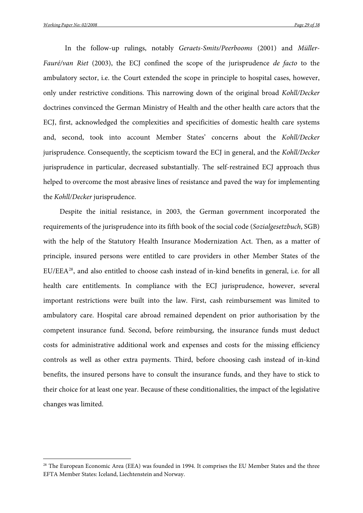In the follow-up rulings, notably *Geraets-Smits/Peerbooms* (2001) and *Müller-Fauré/van Riet* (2003), the ECJ confined the scope of the jurisprudence *de facto* to the ambulatory sector, i.e. the Court extended the scope in principle to hospital cases, however, only under restrictive conditions. This narrowing down of the original broad *Kohll/Decker* doctrines convinced the German Ministry of Health and the other health care actors that the ECJ, first, acknowledged the complexities and specificities of domestic health care systems and, second, took into account Member States' concerns about the *Kohll/Decker* jurisprudence. Consequently, the scepticism toward the ECJ in general, and the *Kohll/Decker* jurisprudence in particular, decreased substantially. The self-restrained ECJ approach thus helped to overcome the most abrasive lines of resistance and paved the way for implementing the *Kohll/Decker* jurisprudence.

Despite the initial resistance, in 2003, the German government incorporated the requirements of the jurisprudence into its fifth book of the social code (*Sozialgesetzbuch*, SGB) with the help of the Statutory Health Insurance Modernization Act. Then, as a matter of principle, insured persons were entitled to care providers in other Member States of the EU/EEA[28](#page-28-0), and also entitled to choose cash instead of in-kind benefits in general, i.e. for all health care entitlements. In compliance with the ECJ jurisprudence, however, several important restrictions were built into the law. First, cash reimbursement was limited to ambulatory care. Hospital care abroad remained dependent on prior authorisation by the competent insurance fund. Second, before reimbursing, the insurance funds must deduct costs for administrative additional work and expenses and costs for the missing efficiency controls as well as other extra payments. Third, before choosing cash instead of in-kind benefits, the insured persons have to consult the insurance funds, and they have to stick to their choice for at least one year. Because of these conditionalities, the impact of the legislative changes was limited.

<span id="page-28-0"></span><sup>&</sup>lt;sup>28</sup> The European Economic Area (EEA) was founded in 1994. It comprises the EU Member States and the three EFTA Member States: Iceland, Liechtenstein and Norway.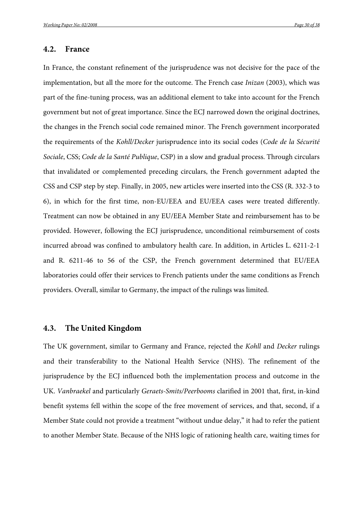#### <span id="page-29-0"></span>**4.2. France**

In France, the constant refinement of the jurisprudence was not decisive for the pace of the implementation, but all the more for the outcome. The French case *Inizan* (2003), which was part of the fine-tuning process, was an additional element to take into account for the French government but not of great importance. Since the ECJ narrowed down the original doctrines, the changes in the French social code remained minor. The French government incorporated the requirements of the *Kohll/Decker* jurisprudence into its social codes (*Code de la Sécurité Sociale*, CSS; *Code de la Santé Publique*, CSP) in a slow and gradual process. Through circulars that invalidated or complemented preceding circulars, the French government adapted the CSS and CSP step by step. Finally, in 2005, new articles were inserted into the CSS (R. 332-3 to 6), in which for the first time, non-EU/EEA and EU/EEA cases were treated differently. Treatment can now be obtained in any EU/EEA Member State and reimbursement has to be provided. However, following the ECJ jurisprudence, unconditional reimbursement of costs incurred abroad was confined to ambulatory health care. In addition, in Articles L. 6211-2-1 and R. 6211-46 to 56 of the CSP, the French government determined that EU/EEA laboratories could offer their services to French patients under the same conditions as French providers. Overall, similar to Germany, the impact of the rulings was limited.

#### **4.3. The United Kingdom**

The UK government, similar to Germany and France, rejected the *Kohll* and *Decker* rulings and their transferability to the National Health Service (NHS). The refinement of the jurisprudence by the ECJ influenced both the implementation process and outcome in the UK. *Vanbraekel* and particularly *Geraets-Smits/Peerbooms* clarified in 2001 that, first, in-kind benefit systems fell within the scope of the free movement of services, and that, second, if a Member State could not provide a treatment "without undue delay," it had to refer the patient to another Member State. Because of the NHS logic of rationing health care, waiting times for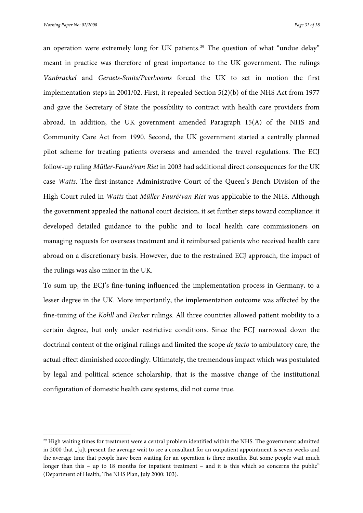an operation were extremely long for UK patients.<sup>[29](#page-30-0)</sup> The question of what "undue delay" meant in practice was therefore of great importance to the UK government. The rulings *Vanbraekel* and *Geraets-Smits/Peerbooms* forced the UK to set in motion the first implementation steps in 2001/02. First, it repealed Section 5(2)(b) of the NHS Act from 1977 and gave the Secretary of State the possibility to contract with health care providers from abroad. In addition, the UK government amended Paragraph 15(A) of the NHS and Community Care Act from 1990. Second, the UK government started a centrally planned pilot scheme for treating patients overseas and amended the travel regulations. The ECJ follow-up ruling *Müller-Fauré/van Riet* in 2003 had additional direct consequences for the UK case *Watts*. The first-instance Administrative Court of the Queen's Bench Division of the High Court ruled in *Watts* that *Müller-Fauré/van Riet* was applicable to the NHS. Although the government appealed the national court decision, it set further steps toward compliance: it developed detailed guidance to the public and to local health care commissioners on managing requests for overseas treatment and it reimbursed patients who received health care abroad on a discretionary basis. However, due to the restrained ECJ approach, the impact of the rulings was also minor in the UK.

To sum up, the ECJ's fine-tuning influenced the implementation process in Germany, to a lesser degree in the UK. More importantly, the implementation outcome was affected by the fine-tuning of the *Kohll* and *Decker* rulings. All three countries allowed patient mobility to a certain degree, but only under restrictive conditions. Since the ECJ narrowed down the doctrinal content of the original rulings and limited the scope *de facto* to ambulatory care, the actual effect diminished accordingly. Ultimately, the tremendous impact which was postulated by legal and political science scholarship, that is the massive change of the institutional configuration of domestic health care systems, did not come true.

<span id="page-30-0"></span><sup>&</sup>lt;sup>29</sup> High waiting times for treatment were a central problem identified within the NHS. The government admitted in 2000 that "[a]t present the average wait to see a consultant for an outpatient appointment is seven weeks and the average time that people have been waiting for an operation is three months. But some people wait much longer than this – up to 18 months for inpatient treatment – and it is this which so concerns the public" (Department of Health, The NHS Plan, July 2000: 103).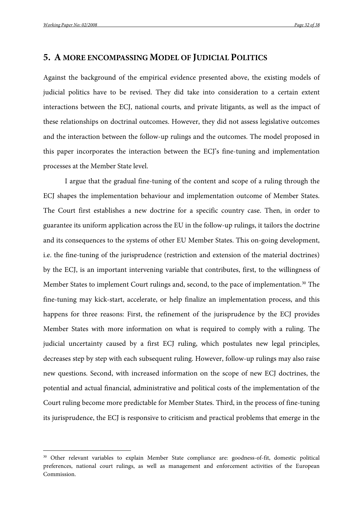### <span id="page-31-0"></span>**5. A MORE ENCOMPASSING MODEL OF JUDICIAL POLITICS**

Against the background of the empirical evidence presented above, the existing models of judicial politics have to be revised. They did take into consideration to a certain extent interactions between the ECJ, national courts, and private litigants, as well as the impact of these relationships on doctrinal outcomes. However, they did not assess legislative outcomes and the interaction between the follow-up rulings and the outcomes. The model proposed in this paper incorporates the interaction between the ECJ's fine-tuning and implementation processes at the Member State level.

I argue that the gradual fine-tuning of the content and scope of a ruling through the ECJ shapes the implementation behaviour and implementation outcome of Member States. The Court first establishes a new doctrine for a specific country case. Then, in order to guarantee its uniform application across the EU in the follow-up rulings, it tailors the doctrine and its consequences to the systems of other EU Member States. This on-going development, i.e. the fine-tuning of the jurisprudence (restriction and extension of the material doctrines) by the ECJ, is an important intervening variable that contributes, first, to the willingness of Member States to implement Court rulings and, second, to the pace of implementation.<sup>[30](#page-31-1)</sup> The fine-tuning may kick-start, accelerate, or help finalize an implementation process, and this happens for three reasons: First, the refinement of the jurisprudence by the ECJ provides Member States with more information on what is required to comply with a ruling. The judicial uncertainty caused by a first ECJ ruling, which postulates new legal principles, decreases step by step with each subsequent ruling. However, follow-up rulings may also raise new questions. Second, with increased information on the scope of new ECJ doctrines, the potential and actual financial, administrative and political costs of the implementation of the Court ruling become more predictable for Member States. Third, in the process of fine-tuning its jurisprudence, the ECJ is responsive to criticism and practical problems that emerge in the

<span id="page-31-1"></span><sup>&</sup>lt;sup>30</sup> Other relevant variables to explain Member State compliance are: goodness-of-fit, domestic political preferences, national court rulings, as well as management and enforcement activities of the European Commission.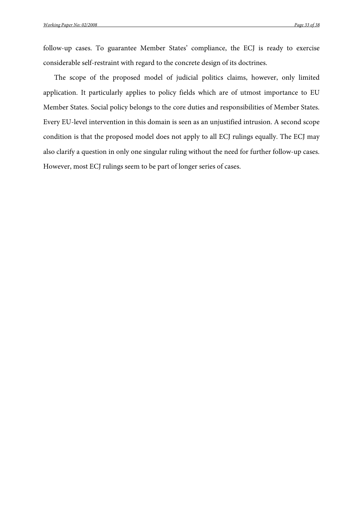follow-up cases. To guarantee Member States' compliance, the ECJ is ready to exercise considerable self-restraint with regard to the concrete design of its doctrines.

The scope of the proposed model of judicial politics claims, however, only limited application. It particularly applies to policy fields which are of utmost importance to EU Member States. Social policy belongs to the core duties and responsibilities of Member States. Every EU-level intervention in this domain is seen as an unjustified intrusion. A second scope condition is that the proposed model does not apply to all ECJ rulings equally. The ECJ may also clarify a question in only one singular ruling without the need for further follow-up cases. However, most ECJ rulings seem to be part of longer series of cases.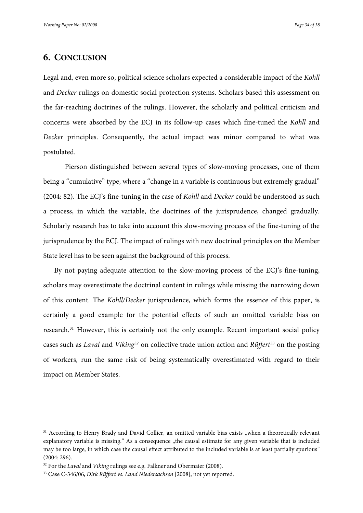# <span id="page-33-0"></span>**6. CONCLUSION**

Legal and, even more so, political science scholars expected a considerable impact of the *Kohll* and *Decker* rulings on domestic social protection systems. Scholars based this assessment on the far-reaching doctrines of the rulings. However, the scholarly and political criticism and concerns were absorbed by the ECJ in its follow-up cases which fine-tuned the *Kohll* and *Decker* principles. Consequently, the actual impact was minor compared to what was postulated.

Pierson distinguished between several types of slow-moving processes, one of them being a "cumulative" type, where a "change in a variable is continuous but extremely gradual" (2004: 82). The ECJ's fine-tuning in the case of *Kohll* and *Decker* could be understood as such a process, in which the variable, the doctrines of the jurisprudence, changed gradually. Scholarly research has to take into account this slow-moving process of the fine-tuning of the jurisprudence by the ECJ. The impact of rulings with new doctrinal principles on the Member State level has to be seen against the background of this process.

By not paying adequate attention to the slow-moving process of the ECJ's fine-tuning, scholars may overestimate the doctrinal content in rulings while missing the narrowing down of this content. The *Kohll/Decker* jurisprudence, which forms the essence of this paper, is certainly a good example for the potential effects of such an omitted variable bias on research.[31](#page-33-1) However, this is certainly not the only example. Recent important social policy cases such as *Laval* and *Viking[32](#page-33-2)* on collective trade union action and *Rüffert[33](#page-33-3)* on the posting of workers, run the same risk of being systematically overestimated with regard to their impact on Member States.

-

<span id="page-33-1"></span><sup>&</sup>lt;sup>31</sup> According to Henry Brady and David Collier, an omitted variable bias exists "when a theoretically relevant explanatory variable is missing." As a consequence "the causal estimate for any given variable that is included may be too large, in which case the causal effect attributed to the included variable is at least partially spurious" (2004: 296).

<span id="page-33-2"></span><sup>32</sup> For the *Laval* and *Viking* rulings see e.g. Falkner and Obermaier (2008).

<span id="page-33-3"></span><sup>&</sup>lt;sup>33</sup> Case C-346/06, *Dirk Rüffert vs. Land Niedersachsen* [2008], not yet reported.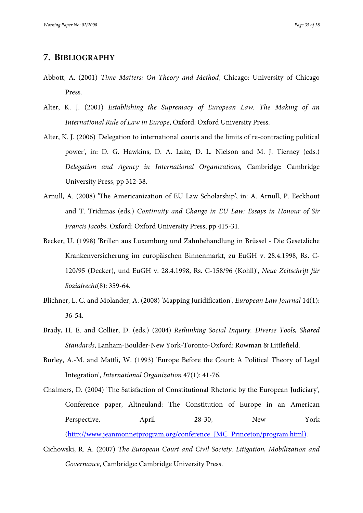# <span id="page-34-0"></span>**7. BIBLIOGRAPHY**

- Abbott, A. (2001) *Time Matters: On Theory and Method*, Chicago: University of Chicago Press.
- Alter, K. J. (2001) *Establishing the Supremacy of European Law. The Making of an International Rule of Law in Europe*, Oxford: Oxford University Press.
- Alter, K. J. (2006) 'Delegation to international courts and the limits of re-contracting political power', in: D. G. Hawkins, D. A. Lake, D. L. Nielson and M. J. Tierney (eds.) *Delegation and Agency in International Organizations,* Cambridge: Cambridge University Press, pp 312-38.
- Arnull, A. (2008) 'The Americanization of EU Law Scholarship', in: A. Arnull, P. Eeckhout and T. Tridimas (eds.) *Continuity and Change in EU Law: Essays in Honour of Sir Francis Jacobs,* Oxford: Oxford University Press, pp 415-31.
- Becker, U. (1998) 'Brillen aus Luxemburg und Zahnbehandlung in Brüssel Die Gesetzliche Krankenversicherung im europäischen Binnenmarkt, zu EuGH v. 28.4.1998, Rs. C-120/95 (Decker), und EuGH v. 28.4.1998, Rs. C-158/96 (Kohll)', *Neue Zeitschrift für Sozialrecht*(8): 359-64.
- Blichner, L. C. and Molander, A. (2008) 'Mapping Juridification', *European Law Journal* 14(1): 36-54.
- Brady, H. E. and Collier, D. (eds.) (2004) *Rethinking Social Inquiry. Diverse Tools, Shared Standards*, Lanham-Boulder-New York-Toronto-Oxford: Rowman & Littlefield.
- Burley, A.-M. and Mattli, W. (1993) 'Europe Before the Court: A Political Theory of Legal Integration', *International Organization* 47(1): 41-76.
- Chalmers, D. (2004) 'The Satisfaction of Constitutional Rhetoric by the European Judiciary', Conference paper, Altneuland: The Constitution of Europe in an American Perspective, April 28-30, New York [\(http://www.jeanmonnetprogram.org/conference\\_JMC\\_Princeton/program.html\).](http://www.jeanmonnetprogram.org/conference_JMC_Princeton/program.html))
- Cichowski, R. A. (2007) *The European Court and Civil Society. Litigation, Mobilization and Governance*, Cambridge: Cambridge University Press.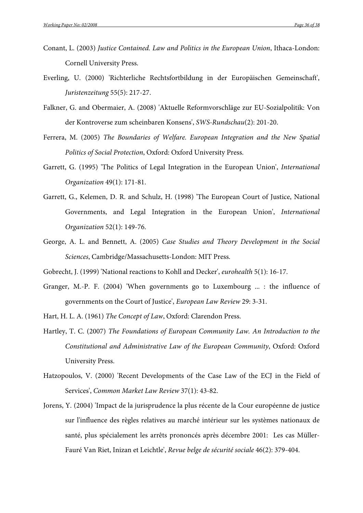- Conant, L. (2003) *Justice Contained. Law and Politics in the European Union*, Ithaca-London: Cornell University Press.
- Everling, U. (2000) 'Richterliche Rechtsfortbildung in der Europäischen Gemeinschaft', *Juristenzeitung* 55(5): 217-27.
- Falkner, G. and Obermaier, A. (2008) 'Aktuelle Reformvorschläge zur EU-Sozialpolitik: Von der Kontroverse zum scheinbaren Konsens', *SWS-Rundschau*(2): 201-20.
- Ferrera, M. (2005) *The Boundaries of Welfare. European Integration and the New Spatial Politics of Social Protection*, Oxford: Oxford University Press.
- Garrett, G. (1995) 'The Politics of Legal Integration in the European Union', *International Organization* 49(1): 171-81.
- Garrett, G., Kelemen, D. R. and Schulz, H. (1998) 'The European Court of Justice, National Governments, and Legal Integration in the European Union', *International Organization* 52(1): 149-76.
- George, A. L. and Bennett, A. (2005) *Case Studies and Theory Development in the Social Sciences*, Cambridge/Massachusetts-London: MIT Press.
- Gobrecht, J. (1999) 'National reactions to Kohll and Decker', *eurohealth* 5(1): 16-17.
- Granger, M.-P. F. (2004) 'When governments go to Luxembourg ... : the influence of governments on the Court of Justice', *European Law Review* 29: 3-31.
- Hart, H. L. A. (1961) *The Concept of Law*, Oxford: Clarendon Press.
- Hartley, T. C. (2007) *The Foundations of European Community Law. An Introduction to the Constitutional and Administrative Law of the European Community*, Oxford: Oxford University Press.
- Hatzopoulos, V. (2000) 'Recent Developments of the Case Law of the ECJ in the Field of Services', *Common Market Law Review* 37(1): 43-82.
- Jorens, Y. (2004) 'Impact de la jurisprudence la plus récente de la Cour européenne de justice sur l'influence des règles relatives au marché intérieur sur les systèmes nationaux de santé, plus spécialement les arrêts prononcés après décembre 2001: Les cas Müller-Fauré Van Riet, Inizan et Leichtle', *Revue belge de sécurité sociale* 46(2): 379-404.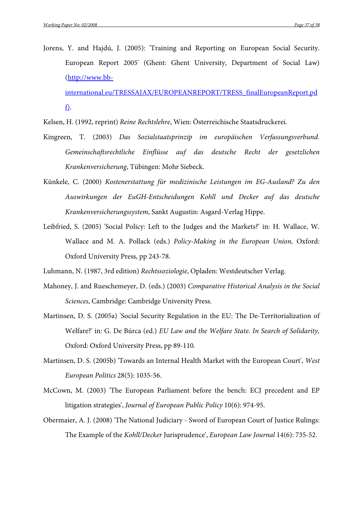Jorens, Y. and Hajdú, J. (2005): 'Training and Reporting on European Social Security. European Report 2005' (Ghent: Ghent University, Department of Social Law) [\(http://www.bb](http://www.bb-international.eu/TRESSAJAX/EUROPEANREPORT/TRESS_finalEuropeanReport.pdf))[international.eu/TRESSAJAX/EUROPEANREPORT/TRESS\\_finalEuropeanReport.pd](http://www.bb-international.eu/TRESSAJAX/EUROPEANREPORT/TRESS_finalEuropeanReport.pdf))

[f\).](http://www.bb-international.eu/TRESSAJAX/EUROPEANREPORT/TRESS_finalEuropeanReport.pdf))

Kelsen, H. (1992, reprint) *Reine Rechtslehre*, Wien: Österreichische Staatsdruckerei.

- Kingreen, T. (2003) *Das Sozialstaatsprinzip im europäischen Verfassungsverbund. Gemeinschaftsrechtliche Einflüsse auf das deutsche Recht der gesetzlichen Krankenversicherung*, Tübingen: Mohr Siebeck.
- Künkele, C. (2000) *Kostenerstattung für medizinische Leistungen im EG-Ausland? Zu den Auswirkungen der EuGH-Entscheidungen Kohll und Decker auf das deutsche Krankenversicherungssystem*, Sankt Augustin: Asgard-Verlag Hippe.
- Leibfried, S. (2005) 'Social Policy: Left to the Judges and the Markets?' in: H. Wallace, W. Wallace and M. A. Pollack (eds.) *Policy-Making in the European Union,* Oxford: Oxford University Press, pp 243-78.

Luhmann, N. (1987, 3rd edition) *Rechtssoziologie*, Opladen: Westdeutscher Verlag.

- Mahoney, J. and Rueschemeyer, D. (eds.) (2003) *Comparative Historical Analysis in the Social Sciences*, Cambridge: Cambridge University Press.
- Martinsen, D. S. (2005a) 'Social Security Regulation in the EU: The De-Territorialization of Welfare?' in: G. De Búrca (ed.) *EU Law and the Welfare State. In Search of Solidarity,*  Oxford: Oxford University Press, pp 89-110.
- Martinsen, D. S. (2005b) 'Towards an Internal Health Market with the European Court', *West European Politics* 28(5): 1035-56.
- McCown, M. (2003) 'The European Parliament before the bench: ECJ precedent and EP litigation strategies', *Journal of European Public Policy* 10(6): 974-95.
- Obermaier, A. J. (2008) 'The National Judiciary Sword of European Court of Justice Rulings: The Example of the *Kohll/Decker* Jurisprudence', *European Law Journal* 14(6): 735-52.